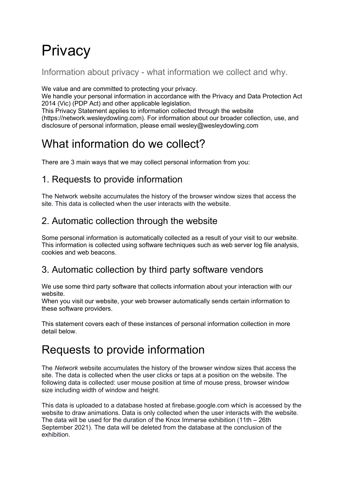# **Privacy**

Information about privacy - what information we collect and why.

We value and are committed to protecting your privacy.

We handle your personal information in accordance with the Privacy and Data Protection Act 2014 (Vic) (PDP Act) and other applicable legislation.

This Privacy Statement applies to information collected through the website

(https://network.wesleydowling.com). For information about our broader collection, use, and disclosure of personal information, please email wesley@wesleydowling.com

## What information do we collect?

There are 3 main ways that we may collect personal information from you:

### 1. Requests to provide information

The Network website accumulates the history of the browser window sizes that access the site. This data is collected when the user interacts with the website.

### 2. Automatic collection through the website

Some personal information is automatically collected as a result of your visit to our website. This information is collected using software techniques such as web server log file analysis, cookies and web beacons.

### 3. Automatic collection by third party software vendors

We use some third party software that collects information about your interaction with our website.

When you visit our website, your web browser automatically sends certain information to these software providers.

This statement covers each of these instances of personal information collection in more detail below.

### Requests to provide information

The *Network* website accumulates the history of the browser window sizes that access the site. The data is collected when the user clicks or taps at a position on the website. The following data is collected: user mouse position at time of mouse press, browser window size including width of window and height.

This data is uploaded to a database hosted at firebase.google.com which is accessed by the website to draw animations. Data is only collected when the user interacts with the website. The data will be used for the duration of the Knox Immerse exhibition (11th – 26th September 2021). The data will be deleted from the database at the conclusion of the exhibition.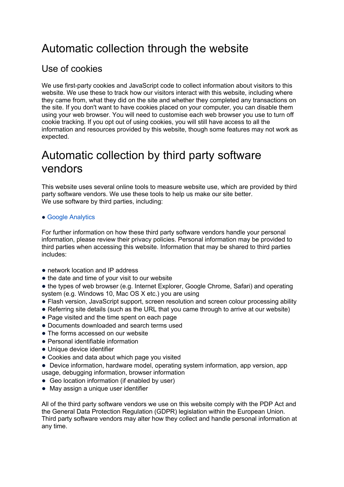### Automatic collection through the website

### Use of cookies

We use first-party cookies and JavaScript code to collect information about visitors to this website. We use these to track how our visitors interact with this website, including where they came from, what they did on the site and whether they completed any transactions on the site. If you don't want to have cookies placed on your computer, you can disable them using your web browser. You will need to customise each web browser you use to turn off cookie tracking. If you opt out of using cookies, you will still have access to all the information and resources provided by this website, though some features may not work as expected.

### Automatic collection by third party software vendors

This website uses several online tools to measure website use, which are provided by third party software vendors. We use these tools to help us make our site better. We use software by third parties, including:

#### • Google Analytics

For further information on how these third party software vendors handle your personal information, please review their privacy policies. Personal information may be provided to third parties when accessing this website. Information that may be shared to third parties includes:

- network location and IP address
- the date and time of your visit to our website

• the types of web browser (e.g. Internet Explorer, Google Chrome, Safari) and operating system (e.g. Windows 10, Mac OS X etc.) you are using

- Flash version, JavaScript support, screen resolution and screen colour processing ability
- Referring site details (such as the URL that you came through to arrive at our website)
- Page visited and the time spent on each page
- Documents downloaded and search terms used
- The forms accessed on our website
- Personal identifiable information
- Unique device identifier
- Cookies and data about which page you visited
- Device information, hardware model, operating system information, app version, app usage, debugging information, browser information
- Geo location information (if enabled by user)
- May assign a unique user identifier

All of the third party software vendors we use on this website comply with the PDP Act and the General Data Protection Regulation (GDPR) legislation within the European Union. Third party software vendors may alter how they collect and handle personal information at any time.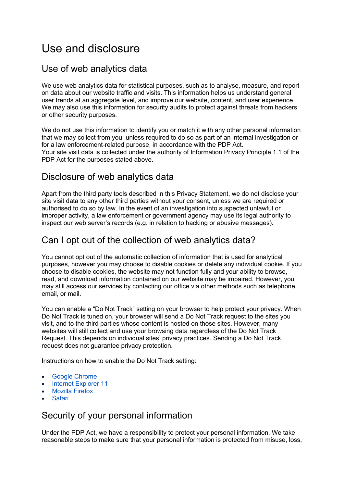### Use and disclosure

#### Use of web analytics data

We use web analytics data for statistical purposes, such as to analyse, measure, and report on data about our website traffic and visits. This information helps us understand general user trends at an aggregate level, and improve our website, content, and user experience. We may also use this information for security audits to protect against threats from hackers or other security purposes.

We do not use this information to identify you or match it with any other personal information that we may collect from you, unless required to do so as part of an internal investigation or for a law enforcement-related purpose, in accordance with the PDP Act. Your site visit data is collected under the authority of Information Privacy Principle 1.1 of the PDP Act for the purposes stated above.

#### Disclosure of web analytics data

Apart from the third party tools described in this Privacy Statement, we do not disclose your site visit data to any other third parties without your consent, unless we are required or authorised to do so by law. In the event of an investigation into suspected unlawful or improper activity, a law enforcement or government agency may use its legal authority to inspect our web server's records (e.g. in relation to hacking or abusive messages).

#### Can I opt out of the collection of web analytics data?

You cannot opt out of the automatic collection of information that is used for analytical purposes, however you may choose to disable cookies or delete any individual cookie. If you choose to disable cookies, the website may not function fully and your ability to browse, read, and download information contained on our website may be impaired. However, you may still access our services by contacting our office via other methods such as telephone, email, or mail.

You can enable a "Do Not Track" setting on your browser to help protect your privacy. When Do Not Track is tuned on, your browser will send a Do Not Track request to the sites you visit, and to the third parties whose content is hosted on those sites. However, many websites will still collect and use your browsing data regardless of the Do Not Track Request. This depends on individual sites' privacy practices. Sending a Do Not Track request does not guarantee privacy protection.

Instructions on how to enable the Do Not Track setting:

- **Google Chrome**
- Internet Explorer 11
- Mozilla Firefox
- Safari

#### Security of your personal information

Under the PDP Act, we have a responsibility to protect your personal information. We take reasonable steps to make sure that your personal information is protected from misuse, loss,